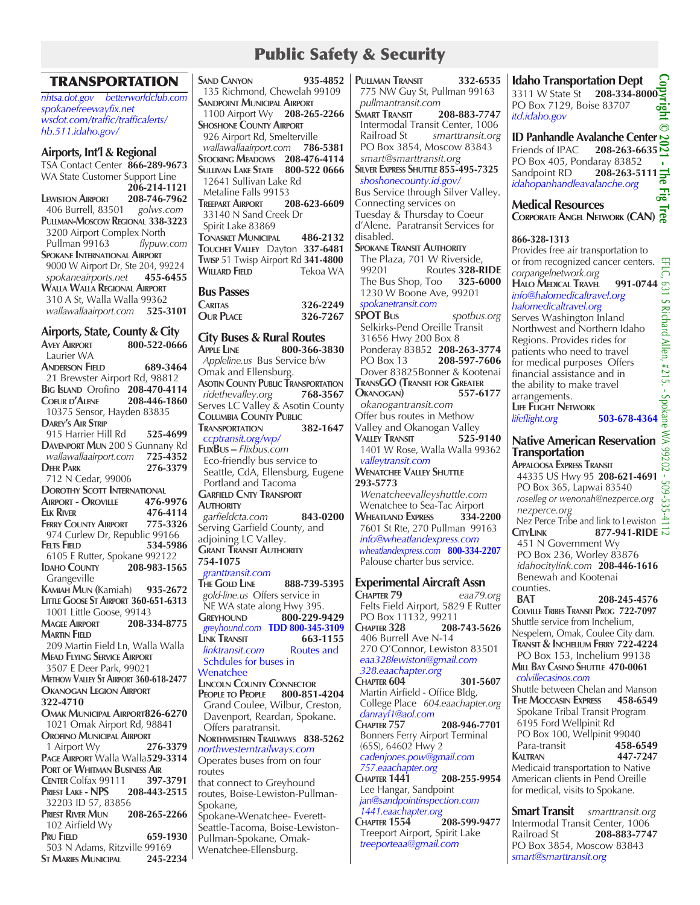# Public Safety & Security

### TRANSPORTATION

*nhtsa.dot.gov betterworldclub.com spokanefreewayfix.net wsdot.com/traffic/trafficalerts/ hb.511.idaho.gov/*

#### **Airports, Int'l & Regional**

TSA Contact Center **866-289-9673**  WA State Customer Support Line **206-214-1121 LEWISTON AIRPORT 208-746-7962**<br>406 Burrell, 83501 *golws.com*  406 Burrell, 83501 *golws.com*  **Pullman-Moscow Regional 338-3223** 3200 Airport Complex North Pullman 99163*flypuw.com* **Spokane International Airport** 9000 W Airport Dr, Ste 204, 99224 *spokaneairports.net* **455-6455 Walla Walla Regional Airport** 310 A St, Walla Walla 99362  *wallawallaairport.com* **525-3101 Airports, State, County & City Avey Airport 800-522-0666** Laurier WA **Anderson Field 689-3464** 21 Brewster Airport Rd, 98812 **BIG ISLAND Orofino 208-470-4114**<br>**COEUR** D'ALENE **208-446-1860 Coeur d'Alene 208-446-1860**

 10375 Sensor, Hayden 83835 **Darey's Air Strip** 915 Harrier Hill Rd **525-4699 Davenport Mun** 200 S Gunnany Rd  *wallawallaairport.com* **725-4352 Deer Park 276-3379** 712 N Cedar, 99006 **Dorothy Scott International**<br>Airport - Oroville 476-9976 **AIRPORT - OROVILLE**<br>**E**LK RIVER **Elk River 476-4114 FERRY COUNTY AIRPORT** 974 Curlew Dr, Republic 99166<br>**FELTS FIELD** 534-598 **Felts Field 534-5986** 6105 E Rutter, Spokane 992122 **Idaho County 208-983-1565 Grangeville Kamiah Mun (**Kamiah) **935-2672 Little Goose St Airport 360-651-6313** 1001 Little Goose, 99143 **Magee Airport 208-334-8775 MARTIN FIELD**  209 Martin Field Ln, Walla Walla **Mead Flying Service Airport** 3507 E Deer Park, 99021 **Methow Valley St Airport 360-618-2477 Okanogan Legion Airport 322-4710 Omak Municipal Airport826-6270** 1021 Omak Airport Rd, 98841 **OROFINO MUNICIPAL AIRPORT**<br>
1 Airport Wy **276-3379** 1 Airport Wy **Page Airport** Walla Walla**529-3314 Port of Whitman Business Air Center** Colfax 99111 **397-3791 PRIEST LAKE - NPS**  32203 ID 57, 83856 **Priest River Mun 208-265-2266** 102 Airfield Wy<br>Pru Fiedd **Pru Field 659-1930** 503 N Adams, Ritzville 99169

**St Maries Municipal 245-2234**

**Sand Canyon 935-4852** 135 Richmond, Chewelah 99109 **Sandpoint Municipal Airport** 1100 Airport Wy **208-265-2266 Shoshone County Airport** 926 Airport Rd, Smelterville  *wallawallaairport.com* **786-5381 Stocking Meadows 208-476-4114 Sullivan Lake State 800-522 0666** 12641 Sullivan Lake Rd Metaline Falls 99153<br>|REEPART AIRPORT 208-623-6609 **TREEPART AIRPORT** 33140 N Sand Creek Dr Spirit Lake 83869 **Tonasket Municipal 486-2132 Touchet Valley** Dayton **337-6481 Twisp** 51 Twisp Airport Rd **341-4800**<br>Will ARD FIFLD Tekoa WA **WILLARD FIELD Bus Passes Caritas 326-2249 OUR PLACE City Buses & Rural Routes Apple Line 800-366-3830**  *Appleline.us* Bus Service b/w Omak and Ellensburg. **ASOTIN COUNTY PUBLIC TRANSPORTATION**<br> *ridethevallev.org* 768-3567  $ride$  *<i>thevalley.org* Serves LC Valley & Asotin County **Columbia County Public TRANSPORTATION**  *ccptransit.org/wp/* **FlixBus –** *Flixbus.com* Eco-friendly bus service to Seattle, CdA, Ellensburg, Eugene Portland and Tacoma **Garfield Cnty Transport AUTHORITY**  *garfieldcta.com* **843-0200** Serving Garfield County, and adjoining LC Valley. **Grant Transit Authority 754-1075**   *granttransit.com* **The Gold Line 888-739-5395**  *gold-line.us* Offers service in NE WA state along Hwy 395.<br>**GREYHOUND** 800-229-9 **Greyhound 800-229-9429**  *greyhound.com* **TDD 800-345-3109 LINK TRANSIT** 663-1155<br> **Linktransit.com** Routes and *linktransit.com*  Schdules for buses in **Wenatchee Lincoln County Connector People to People 800-851-4204** Grand Coulee, Wilbur, Creston, Davenport, Reardan, Spokane. Offers paratransit. **Northwestern Trailways 838-5262** *northwesterntrailways.com* Operates buses from on four routes that connect to Greyhound routes, Boise-Lewiston-Pullman-Spokane, Spokane-Wenatchee- Everett-Seattle-Tacoma, Boise-Lewiston-Pullman-Spokane, Omak-Wenatchee-Ellensburg.

**Pullman Transit 332-6535** 775 NW Guy St, Pullman 99163  *pullmantransit.com* **Smart Transit 208-883-7747** Intermodal Transit Center, 1006 Railroad St *smarttransit.org* PO Box 3854, Moscow 83843  *smart@smarttransit.org*  **Silver Express Shuttle 855-495-7325**  *shoshonecounty.id.gov/* Bus Service through Silver Valley. Connecting services on Tuesday & Thursday to Coeur d'Alene. Paratransit Services for disabled. **Spokane Transit Authority** The Plaza, 701 W Riverside, 99201 Routes **328-RIDE** The Bus Shop, Too 1230 W Boone Ave, 99201  *spokanetransit.com*  $s$ *potbus.org* Selkirks-Pend Oreille Transit 31656 Hwy 200 Box 8 Ponderay 83852 **208-263-3774** PO Box 13 **208-597-7606** Dover 83825Bonner & Kootenai **TransGO (Transit for Greater Okanogan) 557-6177**  *okanogantransit.com* Offer bus routes in Methow Valley and Okanogan Valley<br> **VALLEY TRANSIT** 525-9140 **Valley Transit 525-9140**  1401 W Rose, Walla Walla 99362  *valleytransit.com* **Wenatchee Valley Shuttle 293-5773** *Wenatcheevalleyshuttle.com* Wenatchee to Sea-Tac Airport<br> **WHEATLAND EXPRESS** 334-2200 **Wheatland Express 334-2200**  7601 St Rte, 270 Pullman 99163  *info@wheatlandexpress.com wheatlandexpress.com*  **800-334-2207** Palouse charter bus service. **Experimental Aircraft Assn Chapter 79** *eaa79.org* Felts Field Airport, 5829 E Rutter PO Box 11132, 99211<br>Chapter 328 208 **Chapter 328 208-743-5626** 406 Burrell Ave N-14 270 O'Connor, Lewiston 83501

 *eaa328lewiston@gmail.com 328.eaachapter.org* **Chapter 604 301-5607** Martin Airfield - Office Bldg, College Place *604.eaachapter.org danrayf1@aol.com* **Chapter 757 208-946-7701**  Bonners Ferry Airport Terminal (65S), 64602 Hwy 2  *cadenjones.pow@gmail.com 757.eaachapter.org* **Chapter 1441 208-255-9954** Lee Hangar, Sandpoint<br>jan@sandpointinspection.com  *jan@sandpointinspection.com 1441.eaachapter.org* **Chapter 1554 208-599-9477** Treeport Airport, Spirit Lake  *treeporteaa@gmail.com*

**Idaho Transportation Dept** 3311 W State St **208-334-8000** PO Box 7129, Boise 83707 *itd.idaho.gov*

**Copyright © 2021 - The Fig Tree**  $\odot$ **ID Panhandle Avalanche Center** Friends of IPAC **208-263-6635** PO Box 405, Pondaray 83852<br>Sandpoint RD **208-263-5**  $\frac{208-263-5111}{2}$ *idahopanhandleavalanche.org* 문

**Medical Resources Corporate Angel Network (CAN)**

#### **866-328-1313**

Provides free air transportation to or from recognized cancer centers. *corpangelnetwork.org* **Halo Medical Travel 991-0744** *info@halomedicaltravel.org halomedicaltravel.org* Serves Washington Inland Northwest and Northern Idaho Regions. Provides rides for patients who need to travel for medical purposes Offers financial assistance and in the ability to make travel

arrangements. **Life Flight Network** *lifeflight.org* **503-678-4364**

**Native American Reservation Transportation**

**Appaloosa Express Transit** 44335 US Hwy 95 **208-621-4691** PO Box 365, Lapwai 83540  *roselleg or wenonah@nezperce.org nezperce.org* Nez Perce Tribe and link to Lewiston  $\frac{1}{2}$ <br>CITYLINK 877-941-RIDE  $877-941-RIDE \nabla$  451 N Government Wy PO Box 236, Worley 83876  *idahocitylink.com* **208-446-1616** Benewah and Kootenai counties.  **BAT 208-245-4576**

**Colville Tribes Transit Prog 722-7097**  Shuttle service from Inchelium, Nespelem, Omak, Coulee City dam. **Transit & Inchelium Ferry 722-4224** PO Box 153, Inchelium 99138 **Mill Bay Casino Shuttle 470-0061**  *colvillecasinos.com* Shuttle between Chelan and Manson **The Moccasin Express 458-6549**  Spokane Tribal Transit Program 6195 Ford Wellpinit Rd PO Box 100, Wellpinit 99040 Para-transit **458-6549 Kaltran 447-7247** Medicaid transportation to Native American clients in Pend Oreille for medical, visits to Spokane.

**Smart Transit** *smarttransit.org* Intermodal Transit Center, 1006<br>Railroad St<br>208-883-774 Railroad St **208-883-7747** PO Box 3854, Moscow 83843 *smart@smarttransit.org*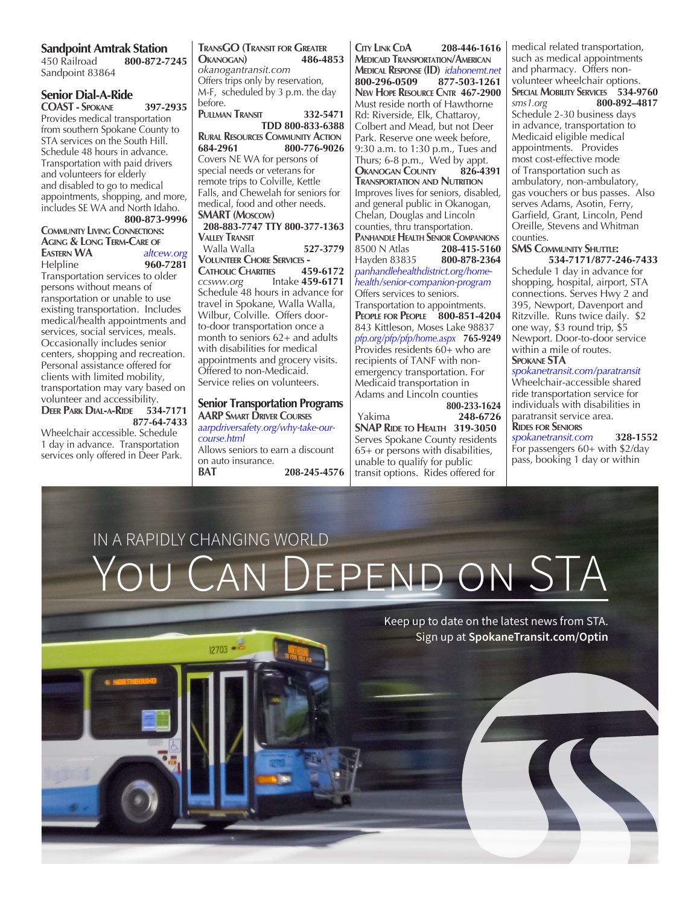#### **Sandpoint Amtrak Station**

450 Railroad **800-872-7245** Sandpoint 83864

### **Senior Dial-A-Ride**

**COAST - Spokane 397-2935** Provides medical transportation from southern Spokane County to STA services on the South Hill. Schedule 48 hours in advance. Transportation with paid drivers and volunteers for elderly and disabled to go to medical appointments, shopping, and more, includes SE WA and North Idaho.  **800-873-9996**

#### **Community Living Connections: Aging & Long Term-Care of Eastern WA** *altcew.org* Helpline **960-7281**

Transportation services to older persons without means of ransportation or unable to use existing transportation. Includes medical/health appointments and services, social services, meals. Occasionally includes senior centers, shopping and recreation. Personal assistance offered for clients with limited mobility, transportation may vary based on volunteer and accessibility.<br>DEER PARK DIAL-A-RIDE 534-7171 **DEER PARK** DIAL-A-RIDE  **877-64-7433**

Wheelchair accessible. Schedule 1 day in advance. Transportation services only offered in Deer Park.

**TransGO (Transit for Greater Okanogan) 486-4853** *okanogantransit.com* Offers trips only by reservation, M-F, scheduled by 3 p.m. the day before. **Pullman Transit 332-5471 TDD 800-833-6388 Rural Resources Community Action 684-2961 800-776-9026** Covers NE WA for persons of special needs or veterans for remote trips to Colville, Kettle Falls, and Chewelah for seniors for medical, food and other needs. **SMART (Moscow) 208-883-7747 TTY 800-377-1363 Valley Transit** Walla Walla **527-3779 Volunteer Chore Services - Catholic Charities 459-6172** *ccsww.org* Intake **459-6171**  Schedule 48 hours in advance for travel in Spokane, Walla Walla, Wilbur, Colville. Offers doorto-door transportation once a month to seniors 62+ and adults with disabilities for medical appointments and grocery visits. Offered to non-Medicaid. Service relies on volunteers.

#### **Senior Transportation Programs AARP Smart Driver Courses** *aarpdriversafety.org/why-take-ourcourse.html*

Allows seniors to earn a discount on auto insurance.<br>**BAT BAT 208-245-4576**

12703

**CITY LINK CDA** 208-446-1616 **Medicaid Transportation/American Medical Response (ID)** *idahonemt.net* **800-296-0509 877-503-1261 New Hope Resource Cntr 467-2900** Must reside north of Hawthorne Rd: Riverside, Elk, Chattaroy, Colbert and Mead, but not Deer Park. Reserve one week before, 9:30 a.m. to 1:30 p.m., Tues and Thurs; 6-8 p.m., Wed by appt.<br>**OKANOGAN COUNTY** 826-4391 **OKANOGAN COUNTY Transportation and Nutrition** Improves lives for seniors, disabled, and general public in Okanogan, Chelan, Douglas and Lincoln counties, thru transportation. **Panhandle Health Senior Companions** 8500 N Atlas **208-415-5160** Hayden 83835 **800-878-2364** *panhandlehealthdistrict.org/homehealth/senior-companion-program* Offers services to seniors. Transportation to appointments. **People for People 800-851-4204** 843 Kittleson, Moses Lake 98837 *pfp.org/pfp/pfp/home.aspx*  **765-9249** Provides residents 60+ who are

recipients of TANF with nonemergency transportation. For Medicaid transportation in Adams and Lincoln counties **800-233-1624** Yakima **248-6726**

**SNAP Ride to Health 319-3050** Serves Spokane County residents 65+ or persons with disabilities, unable to qualify for public transit options. Rides offered for

medical related transportation, such as medical appointments and pharmacy. Offers nonvolunteer wheelchair options. **SPECIAL MOBILITY SERVICES 534-9760**<br>sms1.org **800-892-4817** *sms1.org* **800-892–4817** Schedule 2-30 business days in advance, transportation to Medicaid eligible medical appointments. Provides most cost-effective mode of Transportation such as ambulatory, non-ambulatory, gas vouchers or bus passes. Also serves Adams, Asotin, Ferry, Garfield, Grant, Lincoln, Pend Oreille, Stevens and Whitman counties.

#### **SMS Community Shuttle: 534-7171/877-246-7433**

Schedule 1 day in advance for shopping, hospital, airport, STA connections. Serves Hwy 2 and 395, Newport, Davenport and Ritzville. Runs twice daily. \$2 one way, \$3 round trip, \$5 Newport. Door-to-door service within a mile of routes. **Spokane STA**

*spokanetransit.com/paratransit* Wheelchair-accessible shared ride transportation service for individuals with disabilities in paratransit service area. **Rides for Seniors**

*spokanetransit.com* **328-1552** For passengers 60+ with \$2/day pass, booking 1 day or within

# IN A RAPIDLY CHANGING WORLD You Can Depend on STA

Keep up to date on the latest news from STA. Sign up at **SpokaneTransit.com/Optin**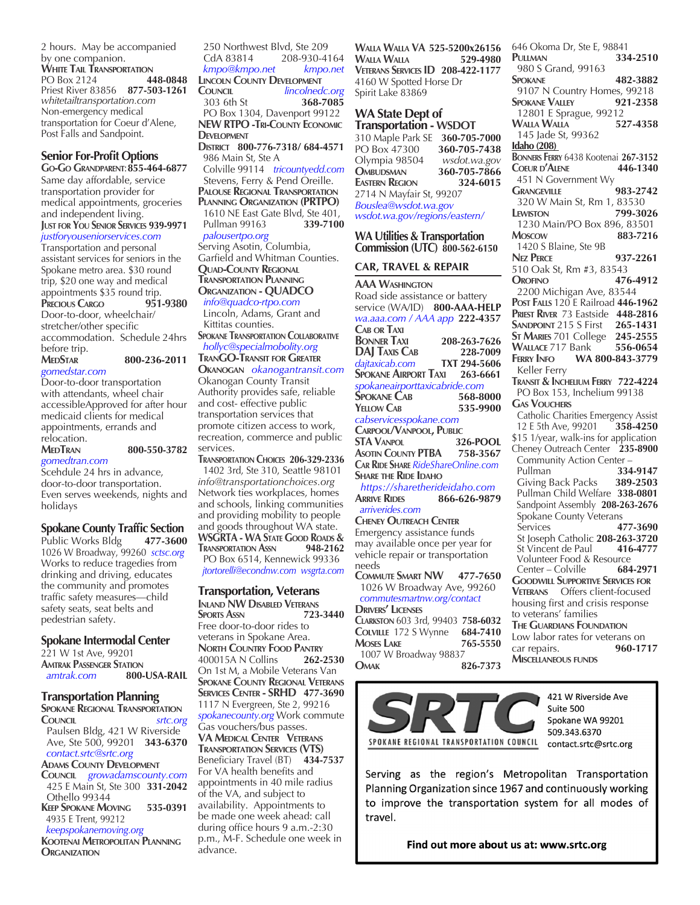2 hours. May be accompanied by one companion. **White Tail Transportation**<br>PO Box 2124 **448-0848** PO Box 2124 **448-0848** Priest River 83856 **877-503-1261** *whitetailtransportation.com* Non-emergency medical transportation for Coeur d'Alene, Post Falls and Sandpoint.

#### **Senior For-Profit Options**

**Go-Go Grandparent**:**855-464-6877** Same day affordable, service transportation provider for medical appointments, groceries and independent living. **Just for You Senior Services 939-9971** *justforyouseniorservices.com*

Transportation and personal assistant services for seniors in the Spokane metro area. \$30 round trip, \$20 one way and medical appointments \$35 round trip.<br>PRECIOUS CARGO 951-9380 **PRECIOUS** CARGO Door-to-door, wheelchair/ stretcher/other specific accommodation. Schedule 24hrs before trip. **MedStar 800-236-2011**

*gomedstar.com* Door-to-door transportation with attendants, wheel chair accessibleApproved for after hour medicaid clients for medical appointments, errands and relocation.

#### **MedTran 800-550-3782** *gomedtran.com*

Scehdule 24 hrs in advance, door-to-door transportation. Even serves weekends, nights and holidays

# **Spokane County Traffic Section**<br>Public Works Bldg 477-3600

Public Works Bldg 1026 W Broadway, 99260 *sctsc.org* Works to reduce tragedies from drinking and driving, educates the community and promotes traffic safety measures—child safety seats, seat belts and pedestrian safety.

#### **Spokane Intermodal Center**

221 W 1st Ave, 99201 **Amtrak Passenger Station**  *amtrak.com* **800-USA-RAIL** 

#### **Transportation Planning**

**Spokane Regional Transportation Council** *srtc.org* Paulsen Bldg, 421 W Riverside Ave, Ste 500, 99201 **343-6370**  *contact.srtc@srtc.org* **Adams County Development Council** *growadamscounty.com* 425 E Main St, Ste 300 **331-2042** Othello 99344 **Keep Spokane Moving 535-0391**

 4935 E Trent, 99212  *keepspokanemoving.org*  **Kootenai Metropolitan Planning**

**Organization**

 250 Northwest Blvd, Ste 209 208-930-4164  *kmpo@kmpo.net kmpo.net*  **Lincoln County Development**

*lincolnedc.org*<br>**368-7085**  303 6th St **368-7085** PO Box 1304, Davenport 99122 **NEW RTPO -Tri-County Economic DEVELOPMENT** 

**District 800-776-7318/ 684-4571** 986 Main St, Ste A Colville 99114 *tricountyedd.com*

 Stevens, Ferry & Pend Oreille. **Palouse Regional Transportation Planning Organization (PRTPO)**1610 NE East Gate Blvd, Ste 401,<br>Pullman 99163 **339-7100** Pullman 99163 **339-7100**

#### *palousertpo.org*

Serving Asotin, Columbia, Garfield and Whitman Counties. **Quad-County Regional Transportation Planning**

# **Organization - QUADCO**

 *info@quadco-rtpo.com*  Lincoln, Adams, Grant and Kittitas counties. **Spokane Transportation Collaborative**  *hollyc@specialmobolity.org*

**TranGO-Transit for Greater**

**Okanogan** *okanogantransit.com* Okanogan County Transit Authority provides safe, reliable and cost- effective public transportation services that promote citizen access to work, recreation, commerce and public services.

**Transportation Choices 206-329-2336** 1402 3rd, Ste 310, Seattle 98101 *info@transportationchoices.org* Network ties workplaces, homes and schools, linking communities and providing mobility to people and goods throughout WA state. **WSGRTA - WA State Good Roads & TRANSPORTATION ASSN**  PO Box 6514, Kennewick 99336  *jtortorelli@econdnw.com wsgrta.com*

#### **Transportation, Veterans Inland NW Disabled Veterans SPORTS ASSN** Free door-to-door rides to

veterans in Spokane Area. **North Country Food Pantry** 400015A N Collins **262-2530** On 1st M, a Mobile Veterans Van **Spokane County Regional Veterans Services Center - SRHD 477-3690** 1117 N Evergreen, Ste 2, 99216 *spokanecounty.org* Work commute Gas vouchers/bus passes. **VA Medical Center Veterans Transportation Services (VTS)** Beneficiary Travel (BT) **434-7537** For VA health benefits and appointments in 40 mile radius of the VA, and subject to availability. Appointments to be made one week ahead: call during office hours 9 a.m.-2:30 p.m., M-F. Schedule one week in advance.

**Walla Walla VA 525-5200x26156 Walla Walla 529-4980 Veterans Services ID 208-422-1177** 4160 W Spotted Horse Dr Spirit Lake 83869

# **WA State Dept of**

**Transportation - WSDOT** 310 Maple Park SE **360-705-7000 PO Box 47300** Olympia 98504 *wsdot.wa.gov* **Ombudsman 360-705-7866 EASTERN REGION** 2714 N Mayfair St, 99207 *Bouslea@wsdot.wa.gov wsdot.wa.gov/regions/eastern/* 

#### **WA Utilities & Transportation Commission (UTC) 800-562-6150**

#### **CAR, TRAVEL & REPAIR**

**AAA Washington** Road side assistance or battery service (WA/ID) **800-AAA-HELP**  *wa.aaa.com / AAA app* **222-4357 Cab or Taxi Bonner Taxi 208-263-7626 DAJ TAXIS CAB** *dajtaxicab.com dajtaxicab.com* **TXT 294-5606 Spokane Airport Taxi 263-6661** *spokaneairporttaxicabride.com* **Spokane Cab 568-8000 YELLOW** CAB *cabservicesspokane.com* **Carpool/Vanpool, Public STA VANPOL 326-POOL**<br>**ASOTIN COUNTY PTBA 758-3567 ASOTIN COUNTY PTBA Car Ride Share** *RideShareOnline.com* **Share the Ride Idaho**  *https://sharetherideidaho.com* **Arrive Rides 866-626-9879**  *arriverides.com* **Cheney Outreach Center** Emergency assistance funds may available once per year for vehicle repair or transportation needs **Commute Smart NW 477-7650**  1026 W Broadway Ave, 99260  *commutesmartnw.org/contact* **Drivers' Licenses Clarkston** 603 3rd, 99403 **758-6032 COLVILLE** 172 S Wynne **Moses Lake 765-5550** 1007 W Broadway 98837 **Omak 826-7373**

646 Okoma Dr, Ste E, 98841 **Pullman 334-2510** 980 S Grand, 99163<br>**SPOKANE Spokane 482-3882** 9107 N Country Homes, 99218 **Spokane Valley 921-2358** 12801 E Sprague, 99212<br>VALLA WALLA 527-4358 **Walla Walla 527-4358** 145 Jade St, 99362 **Idaho (208) Bonners Ferry** 6438 Kootenai **267-3152 Coeur d'Alene 446-1340**  451 N Government Wy<br>GRANGEVILLE 983-2742 **GRANGEVILLE**  320 W Main St, Rm 1, 83530 **Lewiston 799-3026** 1230 Main/PO Box 896, 83501 **Moscow 883-7216** 1420 S Blaine, Ste 9B **Nez Perce 937-2261** 510 Oak St, Rm #3, 83543 **Orofino 476-4912** 2200 Michigan Ave, 83544 **Post Falls** 120 E Railroad **446-1962 PRIEST RIVER** 73 Eastside **448-2816**<br>**SANDPOINT** 215 S First **265-1431 SANDPOINT** 215 S First **St Maries** 701 College **245-2555 Wallace** 717 Bank **556-0654 Ferry Info WA 800-843-3779** Keller Ferry **Transit & Inchelium Ferry 722-4224** PO Box 153, Inchelium 99138 **Gas Vouchers** Catholic Charities Emergency Assist 12 E 5th Ave, 99201 **358-4250** \$15 1/year, walk-ins for application Cheney Outreach Center **235-8900** Community Action Center –<br>Pullman 334 Pullman **334-9147** Giving Back Packs **389-2503** Pullman Child Welfare **338-0801** Sandpoint Assembly **208-263-2676** Spokane County Veterans Services **477-3690** St Joseph Catholic **208-263-3720 St Vincent de Paul**  Volunteer Food & Resource Center – Colville **684-2971 Goodwill Supportive Services for Veterans** Offers client-focused housing first and crisis response to veterans' families **The Guardians Foundation** Low labor rates for veterans on<br>car repairs. 960-1717 car repairs. **Miscellaneous funds**



Serving as the region's Metropolitan Transportation Planning Organization since 1967 and continuously working to improve the transportation system for all modes of travel.

Find out more about us at: www.srtc.org